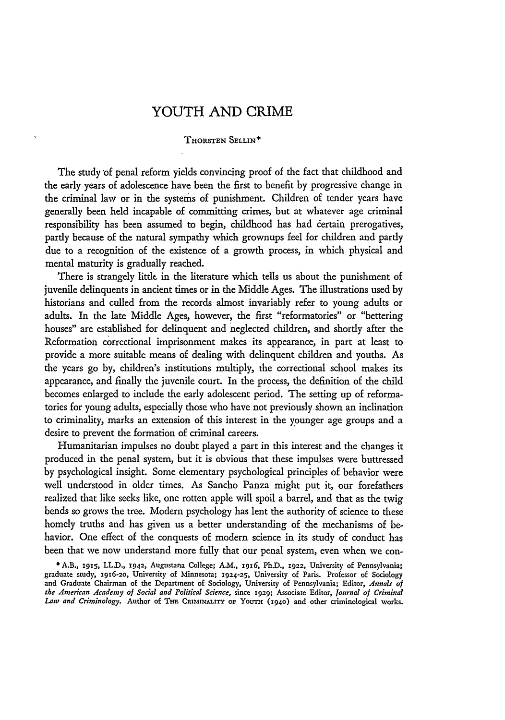# YOUTH AND CRIME

### TiORSTEN **SELLIN\***

The study of penal reform yields convincing proof of the fact that childhood and the early years of adolescence have been the first to benefit by progressive change in the criminal law or in the systems of punishment. Children of tender years have generally been held incapable of committing crimes, but at whatever age criminal responsibility has been assumed to begin, childhood has had certain prerogatives, partly because of the natural sympathy which grownups feel for children and partly due to a recognition of the existence of a growth process, in which physical and mental maturity is gradually reached.

There is strangely little in the literature which tells us about the punishment of juvenile delinquents in ancient times or in the Middle Ages. The illustrations used by historians and culled from the records almost invariably refer to young adults or adults. In the late Middle Ages, however, the first "reformatories" or "bettering houses" are established for delinquent and neglected children, and shortly after the Reformation correctional imprisonment makes its appearance, in part at least to provide a more suitable means of dealing with delinquent children and youths. As the years go by, children's institutions multiply, the correctional school makes its appearance, and finally the juvenile court. In the process, the definition of the child becomes enlarged to include the early adolescent period. The setting up of reformatories for young adults, especially those who have not previously shown an inclination to criminality, marks an extension of this interest in the younger age groups and a desire to prevent the formation of criminal careers.

Humanitarian impulses no doubt played a part in this interest and the changes it produced in the penal system, but it is obvious that these impulses were buttressed by psychological insight. Some elementary psychological principles of behavior were well understood in older times. As Sancho Panza might put it, our forefathers realized that like seeks like, one rotten apple will spoil a barrel, and that as the twig bends so grows the tree. Modern psychology has lent the authority of science to these homely truths and has given us a better understanding of the mechanisms of behavior. One effect of the conquests of modern science in its study of conduct has been that we now understand more fully that our penal system, even when we con-

<sup>\*</sup>A.B., 1915, **LL.D.,** 1942, Augustana College; **A.M., 1916, Ph.D., 1922,** University **of** Pennsylvania; graduate study, **1916-20,** University of Minnesota; 1924-25, University **of Paris.** Professor of **Sociology** and Graduate Chairman of the Department of Sociology, University of Pennsylvania; Editor, *Annals of the American Academy of Social and Political Science,* **since 1929;** Associate Editor, *lournal of Criminal* Law and Criminology. Author of THE CRIMINALITY OF YOUTH (1940) and other criminological works.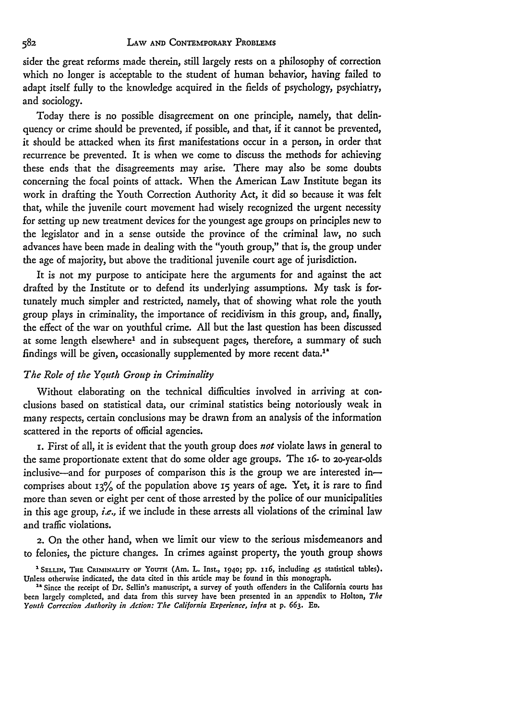sider the great reforms made therein, still largely rests on a philosophy of correction which no longer is acceptable to the student of human behavior, having failed to adapt itself fully to the knowledge acquired in the fields of psychology, psychiatry, and sociology.

Today there is no possible disagreement on one principle, namely, that delinquency or crime should be prevented, if possible, and that, if it cannot be prevented, it should be attacked when its first manifestations occur in a person, in order that recurrence be prevented. It is when we come to discuss the methods for achieving these ends that the disagreements may arise. There may also be some doubts concerning the focal points of attack. When the American Law Institute began its work in drafting the Youth Correction Authority Act, it did so because it was felt that, while the juvenile court movement had wisely recognized the urgent necessity for setting up new treatment devices for the youngest age groups on principles new to the legislator and in a sense outside the province of the criminal law, no such advances have been made in dealing with the "youth group," that is, the group under the age of majority, but above the traditional juvenile court age of jurisdiction.

It is not my purpose to anticipate here the arguments for and against the act drafted by the Institute or to defend its underlying assumptions. My task is fortunately much simpler and restricted, namely, that of showing what role the youth group plays in criminality, the importance of recidivism in this group, and, finally, the effect of the war on youthful crime. All but the last question has been discussed at some length elsewhere<sup>1</sup> and in subsequent pages, therefore, a summary of such findings will be given, occasionally supplemented by more recent data.<sup>14</sup>

## *The Role of the Youth Group in Criminality*

Without elaborating on the technical difficulties involved in arriving at conclusions based on statistical data, our criminal statistics being notoriously weak in many respects, certain conclusions may be drawn from an analysis of the information scattered in the reports of official agencies.

**i.** First of all, it is evident that the youth group does *not* violate laws in general to the same proportionate extent that do some older age groups. The i6- to 2o-year-olds inclusive-and for purposes of comparison this is the group we are interested incomprises about **13%** of the population above 15 years of age. Yet, it is rare to find more than seven or eight per cent of those arrested by the police of our municipalities in this age group, *i.e.,* if we include in these arrests all violations of the criminal law and traffic violations.

2. On the other hand, when we limit our view to the serious misdemeanors and to felonies, the picture changes. In crimes against property, the youth group shows

**<sup>1</sup>SELLN, THE CRIMINALrrY** OF **Yotrr-H** (Am. L. Inst., **1940; pp. Ix6,** including **45** statistical tables). Unless otherwise indicated, the data cited in this article may be **found** in this monograph.

**<sup>&</sup>quot;** Since the receipt **of Dr.** Sellin's manuscript, a survey **of** youth offenders **in** the California courts has been **largely** completed, **and** data from this survey have been presented in an appendix to **Holton,** *The Youth Correction Authority in Action: The California Experience, infra* **at p. 663.** *ED.*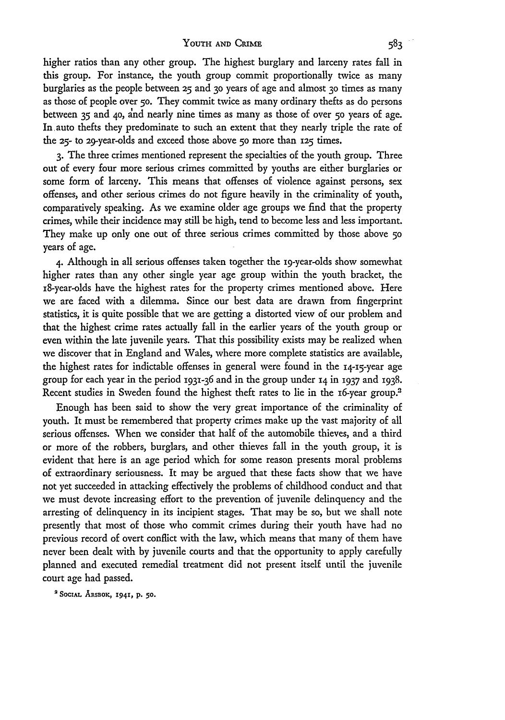higher ratios than any other group. The highest burglary and larceny rates fall in this group. For instance, the youth group commit proportionally twice as many burglaries as the people between **25** and **30** years of age and almost **30** times as many as those of people over **50.** They commit twice as many ordinary thefts as do persons between 35 and **40,** nd nearly nine times as many as those of over **50** years of age. In auto thefts they predominate to such an extent that they nearly triple the rate of the **25-** to 29-year-olds and exceed those above **50** more than **125** times.

3. The three crimes mentioned represent the specialties of the youth group. Three out of every four more serious crimes committed by youths are either burglaries or some form of larceny. This means that offenses of violence against persons, sex offenses, and other serious crimes do not figure heavily in the criminality of youth, comparatively speaking. As we examine older age groups we find that the property crimes, while their incidence may still be high, tend to become less and less important. They make up only one out of three serious crimes committed by those above **5o** years of age.

4. Although in all serious offenses taken together the i9-year-olds show somewhat higher rates than any other single year age group within the youth bracket, the i8-year-olds have the highest rates for the property crimes mentioned above. Here we are faced with a dilemma. Since our best data are drawn from fingerprint statistics, it is quite possible that we are getting a distorted view of our problem and that the highest crime rates actually fall in the earlier years of the youth group or even within the late juvenile years. That this possibility exists may be realized when we discover that in England and Wales, where more complete statistics are available, the highest rates for indictable offenses in general were found in the i4-15-year age group for each year in the period **193i-36** and in the group under **14** in **1937** and 1938. Recent studies in Sweden found the highest theft rates to lie in the 16-year group.<sup>2</sup>

Enough has been said to show the very great importance of the criminality of youth. It must be remembered that property crimes make up the vast majority of all serious offenses. When we consider that half of the automobile thieves, and a third or more of the robbers, burglars, and other thieves fall in the youth group, it is evident that here is an age period which for some reason presents moral problems of extraordinary seriousness. It may be argued that these facts show that we have not yet succeeded in attacking effectively the problems of childhood conduct and that we must devote increasing effort to the prevention of juvenile delinquency and the arresting of delinquency in its incipient stages. That may be so, but we shall note presently that most of those who commit crimes during their youth have had no previous record of overt conflict with the law, which means that many of them have never been dealt with by juvenile courts and that the opportunity to apply carefully planned and executed remedial treatment did not present itself until the juvenile court age had passed.

**2 SOCIAL ARSBOK, 1941, p. 50.**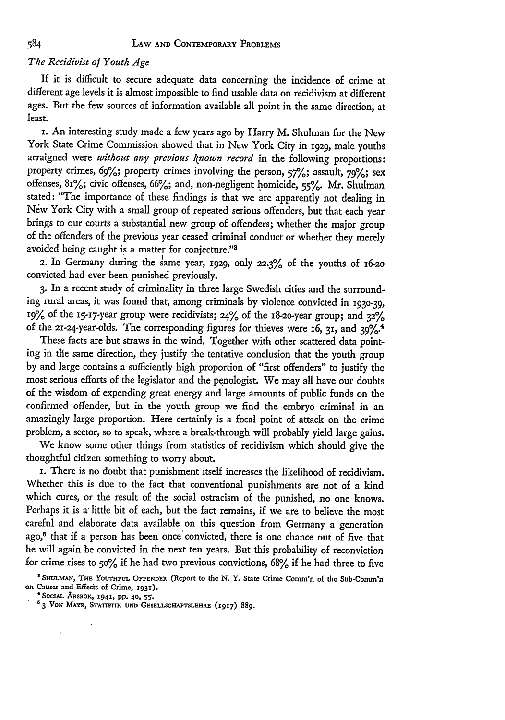### *The Recidivist* of *Youth Age*

If it is difficult to secure adequate data concerning the incidence of crime at different age levels it is almost impossible to find usable data on recidivism at different ages. But the few sources of information available all point in the same direction, at least.

**i.** An interesting study made a few years ago by Harry M. Shulman for the New York State Crime Commission showed that in New York City in x929, male youths arraigned were *without any previous known record* in the following proportions: property crimes, 69%; property crimes involving the person, 57%; assault, 79%; sex offenses, 81%; civic offenses, 66%; and, non-negligent homicide, 55%. Mr. Shulman stated: "The importance of these findings is that we are apparently not dealing in New York City with a small group of repeated serious offenders, but that each year brings to our courts a substantial new group of offenders; whether the major group of the offenders of the previous year ceased criminal conduct or whether they merely avoided being caught is a matter for conjecture."

**2.** In Germany during the same year, 1929, only **22.3%** of the youths of i6-20 convicted had ever been punished previously.

3. In a recent study of criminality in three large Swedish cities and the surrounding rural areas, it was found that, among criminals by violence convicted in 1930-39, 19% of the 15-17-year group were recidivists; 24% of the 18-20-year group; and 32% of the 2i-24-year-olds. The corresponding figures for thieves were **x6,** 31, and *39%.4*

These facts are but straws in the wind. Together with other scattered data pointing in die same direction, they justify the tentative conclusion that the youth group by and large contains a sufficiently high proportion of "first offenders" to justify the most serious efforts of the legislator and the penologist. We may all have our doubts of the wisdom of expending great energy and large amounts of public funds on the confirmed offender, but in the youth group we find the embryo criminal in an amazingly large proportion. Here certainly is a focal point of attack on the crime problem, a sector, so to speak, where a break-through will probably yield large gains.

We know some other things from statistics of recidivism which should give the thoughtful citizen something to worry about.

**i.** There is no doubt that punishment itself increases the likelihood of recidivism. Whether this is due to the fact that conventional punishments are not of a kind which cures, or the result of the social ostracism of the punished, no one knows. Perhaps it is *a* little bit of each, but the fact remains, if we are to believe the most careful and elaborate data available on this question from Germany a generation ago,<sup>5</sup> that if a person has been once convicted, there is one chance out of five that he will again be convicted in the next ten years. But this probability of reconviction for crime rises to **50%6** if he had two previous convictions, **68%** if he had three to five

**<sup>&#</sup>x27; SHLArN. ,** THE **YotrrFn~Us- OFFENDER** (Report to the **N. Y.** State **Crimc** Comm'n of the Sub-Comm'n **on** Causes **and Effects of** Crime, **1931).**

**<sup>&#</sup>x27;** SocrAL **ARSBOK, 1941, pp. 40, 55.**

**i 3 VoN MAYR, STAnrrsnx uND GE SELLcHAFTsLmmE (1917) 889.**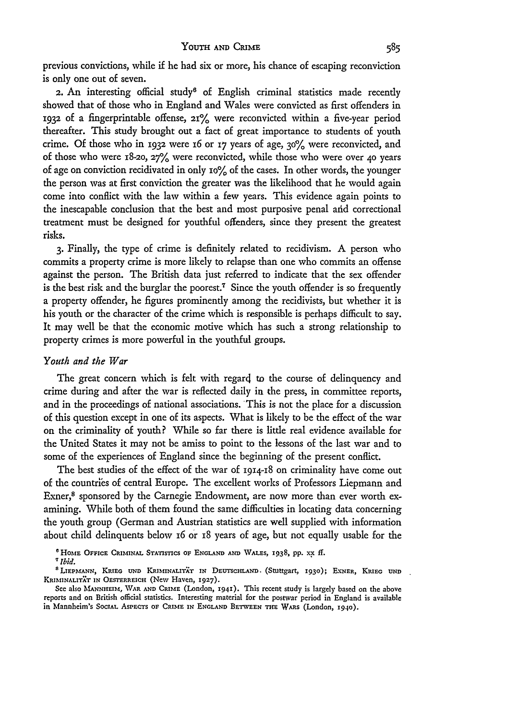previous convictions, while if he had six or more, his chance of escaping reconviction is only one out of seven.

2. An interesting official study<sup>6</sup> of English criminal statistics made recently showed that of those who in England and Wales were convicted as first offenders in 1932 of a fingerprintable offense, 21% were reconvicted within a five-year period thereafter. This study brought out a fact of great importance to students of youth crime. Of those who in 1932 were 16 or 17 years of age, **30%** were reconvicted, and of those who were i8-2o, **270/.** were reconvicted, while those who were over 40 years of age on conviction recidivated in only  $10\%$  of the cases. In other words, the younger the person was at first conviction the greater was the likelihood that he would again come into conflict with the law within a few years. This evidence again points to the inescapable conclusion that the best and most purposive penal aid correctional treatment must be designed for youthful offenders, since they present the greatest risks.

**3.** Finally, the type of crime is definitely related to recidivism. **A** person who commits a property crime is more likely to relapse than one who commits an offense against the person. The British data just referred to indicate that the sex offender is the best risk and the burglar the poorest.<sup>7</sup> Since the youth offender is so frequently a property offender, he figures prominently among the recidivists, but whether it is his youth or the character of **the** crime which is responsible is perhaps difficult to say. It may well be that the economic motive which has such a strong relationship to property crimes is more powerful in the youthful groups.

### *Youth and the War*

The great concern which is felt with regard to the course of delinquency and crime during and after the war is reflected daily in the press, in committee reports, and in the proceedings of national associations. This is not the place for a discussion of this question except in one of its aspects. What is likely to be the effect of the war on the criminality of youth? While so far there is little real evidence available for the United States it may not be amiss to point to the lessons of the last war and to some of the experiences of England since the beginning of the present conflict.

The best studies of the effect of the war of 1914-18 on criminality have come out of the countries of central Europe. The excellent works of Professors Liepmann and Exner, $8$  sponsored by the Carnegie Endowment, are now more than ever worth examining. While both of them found the same difficulties in locating data concerning the youth group (German and Austrian statistics are well supplied with information about child delinquents below 16 or 18 years of age, but not equally usable for the

<sup>&#</sup>x27;HOME **OFFICE** CRIMINAL STATISTICS OF **ENGLAND AND VALES, 1938,** pp. xx **ff.**

*<sup>7</sup>Ibid.*

<sup>&</sup>lt;sup>8</sup> LIEPMANN, KRIEG UND KRIMINALITÄT IN DEUTSCHLAND. (Stuttgart, 1930); EXNER, KRIEG UND **KRIMINALITXT IN** OESTERREICH (New Haven, 1927).

See also **MANNHEIM,** WAR **AND** CRIME (London, 1941). This recent study is largely based on the above reports and on British official statistics. Interesting material for the postwar period in England is available in Mannheim's **SOCIAL** ASPECTS OF CRIME **IN ENGLAND BETWEEN THE** WARs (London, 1940).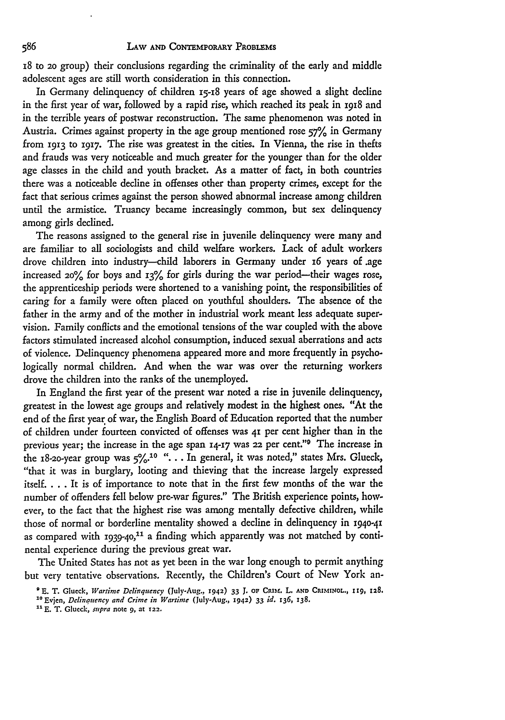i8 to 20 group) their conclusions regarding the criminality of the early and middle adolescent ages are still worth consideration in this connection.

In Germany delinquency of children **15-18** years of age showed a slight decline in the first year of war, followed by a rapid rise, which reached its peak in 1918 and in the terrible years of postwar reconstruction. The same phenomenon was noted in Austria. Crimes against property in the age group mentioned rose **57%** in Germany from **1913** to **1917.** The rise was greatest in the cities. In Vienna, the rise in thefts and frauds was very noticeable and much greater for the younger than for the older age classes in the child and youth bracket. As a matter of fact, in both countries there was a noticeable decline in offenses other than property crimes, except for the fact that serious crimes against the person showed abnormal increase among children until the armistice. Truancy became increasingly common, but sex delinquency among girls declined.

The reasons assigned to the general rise in juvenile delinquency were many and are familiar to all sociologists and child welfare workers. Lack of adult workers drove children into industry-child laborers in Germany under 16 years of .age increased **20%** for boys and **13%** for girls during the war period-their wages rose, the apprenticeship periods were shortened to a vanishing point, the responsibilities of caring for a family were often placed on youthful shoulders. The absence of the father in the army and of the mother in industrial work meant less adequate supervision. Family conflicts and the emotional tensions of the war coupled with the above factors stimulated increased alcohol consumption, induced sexual aberrations and acts of violence. Delinquency phenomena appeared more and more frequently in psychologically normal children. And when the war was over the returning workers drove the children into the ranks of the unemployed.

In England the first year of the present war noted a rise in juvenile delinquency, greatest in the lowest age groups and relatively modest in the highest ones. "At the end of the first year of war, the English Board of Education reported that the number of children under fourteen convicted of offenses was **41** per cent higher than in the previous year; the increase in the age span 14-17 was 22 per cent."<sup>9</sup> The increase in the 18-2o-year group was **5%.10 ". . .** In general, it was noted," states Mrs. Glueck, "that it was in burglary, looting and thieving that the increase largely expressed itself. **...**It is of importance to note that in the first few months of the war the number of offenders fell below pre-war figures." The British experience points, however, to the fact that the highest rise was among mentally defective children, while those of normal or borderline mentality showed a decline in delinquency in **1940-41** as compared with 1939-40, $11$  a finding which apparently was not matched by continental experience during the previous great war.

The United States has not as yet been in the war long enough to permit anything but very tentative observations. Recently, the Children's Court of New York an-

<sup>&</sup>lt;sup>9</sup> E. T. Glueck, *Wartime Delinquency* (July-Aug., 1942) 33 J. OF CRIM. L. AND CRIMINOL., 119, 128<br><sup>10</sup> Esien, *Delinquency and Crime in Wartime (July-Aug., 1942) 22 id., 126, 128.* 

x **E.** T. Glueck, supra note **9,** at **122.**